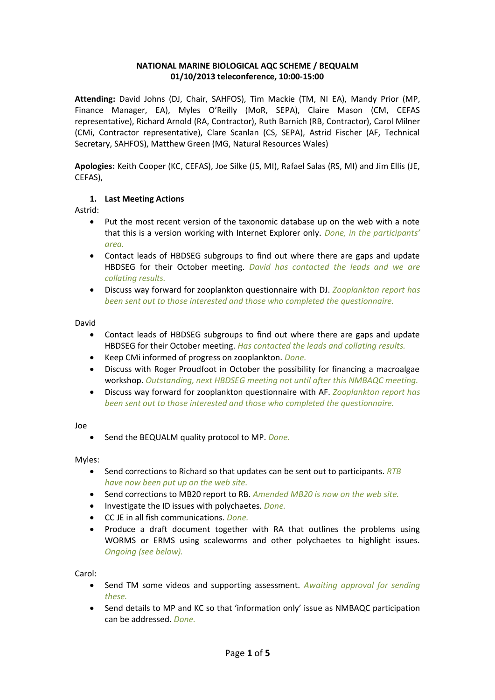# **NATIONAL MARINE BIOLOGICAL AQC SCHEME / BEQUALM 01/10/2013 teleconference, 10:00-15:00**

**Attending:** David Johns (DJ, Chair, SAHFOS), Tim Mackie (TM, NI EA), Mandy Prior (MP, Finance Manager, EA), Myles O'Reilly (MoR, SEPA), Claire Mason (CM, CEFAS representative), Richard Arnold (RA, Contractor), Ruth Barnich (RB, Contractor), Carol Milner (CMi, Contractor representative), Clare Scanlan (CS, SEPA), Astrid Fischer (AF, Technical Secretary, SAHFOS), Matthew Green (MG, Natural Resources Wales)

**Apologies:** Keith Cooper (KC, CEFAS), Joe Silke (JS, MI), Rafael Salas (RS, MI) and Jim Ellis (JE, CEFAS),

### **1. Last Meeting Actions**

Astrid:

- Put the most recent version of the taxonomic database up on the web with a note that this is a version working with Internet Explorer only. *Done, in the participants' area.*
- Contact leads of HBDSEG subgroups to find out where there are gaps and update HBDSEG for their October meeting. *David has contacted the leads and we are collating results.*
- Discuss way forward for zooplankton questionnaire with DJ. *Zooplankton report has been sent out to those interested and those who completed the questionnaire.*

David

- Contact leads of HBDSEG subgroups to find out where there are gaps and update HBDSEG for their October meeting. *Has contacted the leads and collating results.*
- Keep CMi informed of progress on zooplankton. *Done.*
- Discuss with Roger Proudfoot in October the possibility for financing a macroalgae workshop. *Outstanding, next HBDSEG meeting not until after this NMBAQC meeting.*
- Discuss way forward for zooplankton questionnaire with AF. *Zooplankton report has been sent out to those interested and those who completed the questionnaire.*

Joe

• Send the BEQUALM quality protocol to MP. *Done.*

Myles:

- Send corrections to Richard so that updates can be sent out to participants. *RTB have now been put up on the web site.*
- Send corrections to MB20 report to RB. *Amended MB20 is now on the web site.*
- Investigate the ID issues with polychaetes. *Done.*
- CC JE in all fish communications. *Done.*
- Produce a draft document together with RA that outlines the problems using WORMS or ERMS using scaleworms and other polychaetes to highlight issues. *Ongoing (see below).*

Carol:

- Send TM some videos and supporting assessment. *Awaiting approval for sending these.*
- Send details to MP and KC so that 'information only' issue as NMBAQC participation can be addressed. *Done.*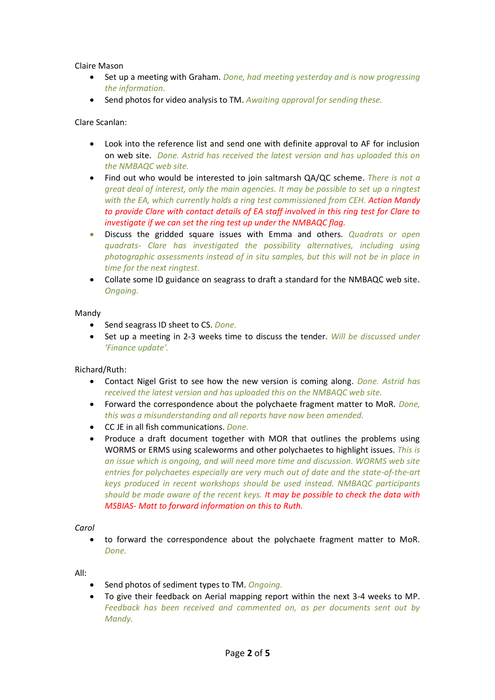Claire Mason

- Set up a meeting with Graham. *Done, had meeting yesterday and is now progressing the information.*
- Send photos for video analysis to TM. *Awaiting approval for sending these.*

Clare Scanlan:

- Look into the reference list and send one with definite approval to AF for inclusion on web site. *Done. Astrid has received the latest version and has uploaded this on the NMBAQC web site.*
- Find out who would be interested to join saltmarsh QA/QC scheme. *There is not a great deal of interest, only the main agencies. It may be possible to set up a ringtest with the EA, which currently holds a ring test commissioned from CEH. Action Mandy to provide Clare with contact details of EA staff involved in this ring test for Clare to investigate if we can set the ring test up under the NMBAQC flag.*
- Discuss the gridded square issues with Emma and others. *Quadrats or open quadrats- Clare has investigated the possibility alternatives, including using photographic assessments instead of in situ samples, but this will not be in place in time for the next ringtest.*
- Collate some ID guidance on seagrass to draft a standard for the NMBAQC web site. *Ongoing.*

Mandy

- Send seagrass ID sheet to CS. *Done.*
- Set up a meeting in 2-3 weeks time to discuss the tender. *Will be discussed under 'Finance update'.*

Richard/Ruth:

- Contact Nigel Grist to see how the new version is coming along. *Done. Astrid has received the latest version and has uploaded this on the NMBAQC web site.*
- Forward the correspondence about the polychaete fragment matter to MoR. *Done, this was a misunderstanding and all reports have now been amended.*
- CC JE in all fish communications. *Done.*
- Produce a draft document together with MOR that outlines the problems using WORMS or ERMS using scaleworms and other polychaetes to highlight issues. *This is an issue which is ongoing, and will need more time and discussion. WORMS web site entries for polychaetes especially are very much out of date and the state-of-the-art keys produced in recent workshops should be used instead. NMBAQC participants should be made aware of the recent keys. It may be possible to check the data with MSBIAS- Matt to forward information on this to Ruth.*

*Carol*

• to forward the correspondence about the polychaete fragment matter to MoR. *Done.*

All:

- Send photos of sediment types to TM. *Ongoing.*
- To give their feedback on Aerial mapping report within the next 3-4 weeks to MP. *Feedback has been received and commented on, as per documents sent out by Mandy.*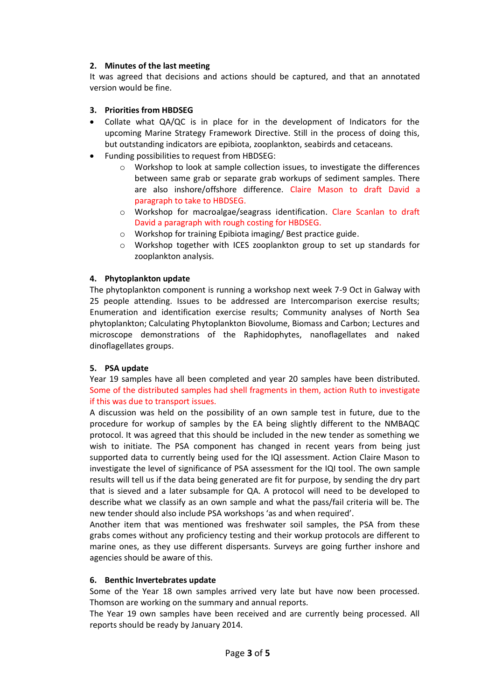# **2. Minutes of the last meeting**

It was agreed that decisions and actions should be captured, and that an annotated version would be fine.

### **3. Priorities from HBDSEG**

- Collate what QA/QC is in place for in the development of Indicators for the upcoming Marine Strategy Framework Directive. Still in the process of doing this, but outstanding indicators are epibiota, zooplankton, seabirds and cetaceans.
- Funding possibilities to request from HBDSEG:
	- $\circ$  Workshop to look at sample collection issues, to investigate the differences between same grab or separate grab workups of sediment samples. There are also inshore/offshore difference. Claire Mason to draft David a paragraph to take to HBDSEG.
	- o Workshop for macroalgae/seagrass identification. Clare Scanlan to draft David a paragraph with rough costing for HBDSEG.
	- o Workshop for training Epibiota imaging/ Best practice guide.
	- o Workshop together with ICES zooplankton group to set up standards for zooplankton analysis.

### **4. Phytoplankton update**

The phytoplankton component is running a workshop next week 7-9 Oct in Galway with 25 people attending. Issues to be addressed are Intercomparison exercise results; Enumeration and identification exercise results; Community analyses of North Sea phytoplankton; Calculating Phytoplankton Biovolume, Biomass and Carbon; Lectures and microscope demonstrations of the Raphidophytes, nanoflagellates and naked dinoflagellates groups.

#### **5. PSA update**

Year 19 samples have all been completed and year 20 samples have been distributed. Some of the distributed samples had shell fragments in them, action Ruth to investigate if this was due to transport issues.

A discussion was held on the possibility of an own sample test in future, due to the procedure for workup of samples by the EA being slightly different to the NMBAQC protocol. It was agreed that this should be included in the new tender as something we wish to initiate. The PSA component has changed in recent years from being just supported data to currently being used for the IQI assessment. Action Claire Mason to investigate the level of significance of PSA assessment for the IQI tool. The own sample results will tell us if the data being generated are fit for purpose, by sending the dry part that is sieved and a later subsample for QA. A protocol will need to be developed to describe what we classify as an own sample and what the pass/fail criteria will be. The new tender should also include PSA workshops 'as and when required'.

Another item that was mentioned was freshwater soil samples, the PSA from these grabs comes without any proficiency testing and their workup protocols are different to marine ones, as they use different dispersants. Surveys are going further inshore and agencies should be aware of this.

#### **6. Benthic Invertebrates update**

Some of the Year 18 own samples arrived very late but have now been processed. Thomson are working on the summary and annual reports.

The Year 19 own samples have been received and are currently being processed. All reports should be ready by January 2014.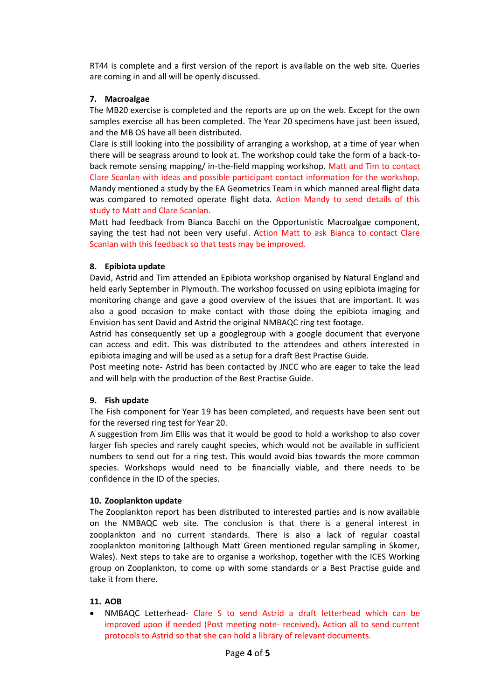RT44 is complete and a first version of the report is available on the web site. Queries are coming in and all will be openly discussed.

### **7. Macroalgae**

The MB20 exercise is completed and the reports are up on the web. Except for the own samples exercise all has been completed. The Year 20 specimens have just been issued, and the MB OS have all been distributed.

Clare is still looking into the possibility of arranging a workshop, at a time of year when there will be seagrass around to look at. The workshop could take the form of a back-toback remote sensing mapping/ in-the-field mapping workshop. Matt and Tim to contact Clare Scanlan with ideas and possible participant contact information for the workshop. Mandy mentioned a study by the EA Geometrics Team in which manned areal flight data was compared to remoted operate flight data. Action Mandy to send details of this study to Matt and Clare Scanlan.

Matt had feedback from Bianca Bacchi on the Opportunistic Macroalgae component, saying the test had not been very useful. Action Matt to ask Bianca to contact Clare Scanlan with this feedback so that tests may be improved.

### **8. Epibiota update**

David, Astrid and Tim attended an Epibiota workshop organised by Natural England and held early September in Plymouth. The workshop focussed on using epibiota imaging for monitoring change and gave a good overview of the issues that are important. It was also a good occasion to make contact with those doing the epibiota imaging and Envision has sent David and Astrid the original NMBAQC ring test footage.

Astrid has consequently set up a googlegroup with a google document that everyone can access and edit. This was distributed to the attendees and others interested in epibiota imaging and will be used as a setup for a draft Best Practise Guide.

Post meeting note- Astrid has been contacted by JNCC who are eager to take the lead and will help with the production of the Best Practise Guide.

#### **9. Fish update**

The Fish component for Year 19 has been completed, and requests have been sent out for the reversed ring test for Year 20.

A suggestion from Jim Ellis was that it would be good to hold a workshop to also cover larger fish species and rarely caught species, which would not be available in sufficient numbers to send out for a ring test. This would avoid bias towards the more common species. Workshops would need to be financially viable, and there needs to be confidence in the ID of the species.

#### **10. Zooplankton update**

The Zooplankton report has been distributed to interested parties and is now available on the NMBAQC web site. The conclusion is that there is a general interest in zooplankton and no current standards. There is also a lack of regular coastal zooplankton monitoring (although Matt Green mentioned regular sampling in Skomer, Wales). Next steps to take are to organise a workshop, together with the ICES Working group on Zooplankton, to come up with some standards or a Best Practise guide and take it from there.

#### **11. AOB**

• NMBAQC Letterhead- Clare S to send Astrid a draft letterhead which can be improved upon if needed (Post meeting note- received). Action all to send current protocols to Astrid so that she can hold a library of relevant documents.